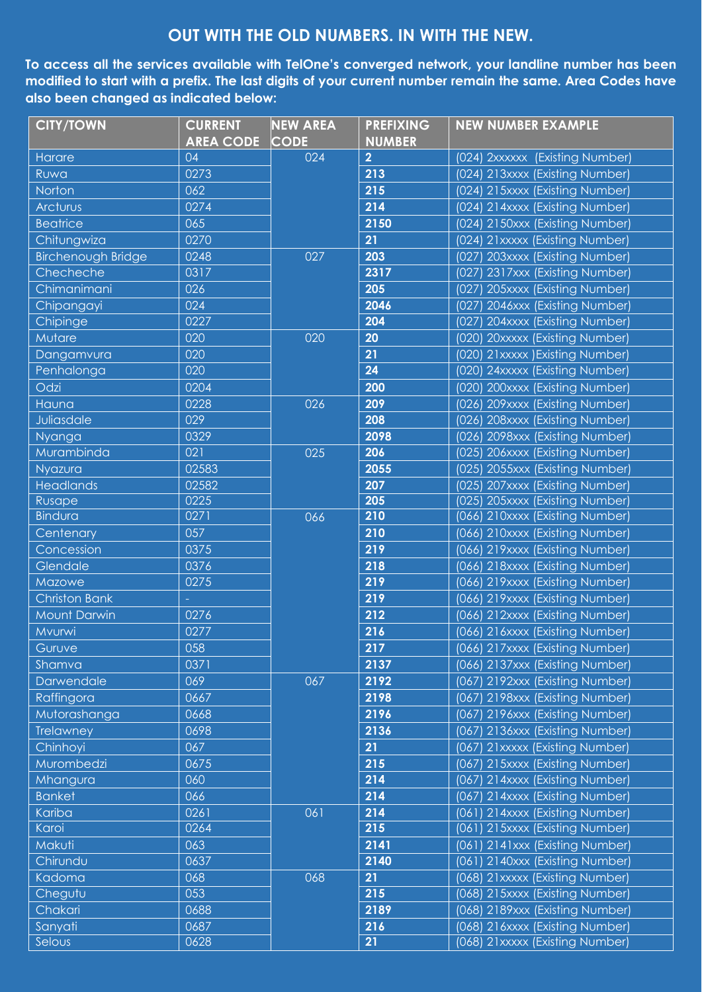## **OUT WITH THE OLD NUMBERS. IN WITH THE NEW.**

**To access all the services available with TelOne's converged network, your landline number has been modified to start with a prefix. The last digits of your current number remain the same. Area Codes have also been changed as indicated below:**

| <b>CITY/TOWN</b>          | <b>CURRENT</b><br><b>AREA CODE</b> | <b>NEW AREA</b><br><b>CODE</b> | <b>PREFIXING</b><br><b>NUMBER</b> | <b>NEW NUMBER EXAMPLE</b>          |
|---------------------------|------------------------------------|--------------------------------|-----------------------------------|------------------------------------|
| Harare                    | 04                                 | 024                            | $\overline{2}$                    | (024) 2xxxxxx (Existing Number)    |
| Ruwa                      | 0273                               |                                | 213                               | (024) 213xxxx (Existing Number)    |
| Norton                    | 062                                |                                | 215                               | (024) 215xxxx (Existing Number)    |
| Arcturus                  | 0274                               |                                | 214                               | (024) 214xxxx (Existing Number)    |
| <b>Beatrice</b>           | 065                                |                                | 2150                              | (024) 2150xxx (Existing Number)    |
| Chitungwiza               | 0270                               |                                | 21                                | (024) 21xxxxx (Existing Number)    |
| <b>Birchenough Bridge</b> | 0248                               | 027                            | 203                               | (027) 203xxxx (Existing Number)    |
| Checheche                 | 0317                               |                                | 2317                              | (027) 2317xxx (Existing Number)    |
| Chimanimani               | 026                                |                                | 205                               | 205xxxx (Existing Number)<br>(027) |
| Chipangayi                | 024                                |                                | 2046                              | 2046xxx (Existing Number)<br>(027) |
| Chipinge                  | 0227                               |                                | 204                               | (027) 204xxxx (Existing Number)    |
| Mutare                    | 020                                | 020                            | 20                                | (020) 20xxxxx (Existing Number)    |
| Dangamvura                | 020                                |                                | 21                                | (020) 21xxxxx ) Existing Number)   |
| Penhalonga                | 020                                |                                | 24                                | (020) 24xxxxx (Existing Number)    |
| Odzi                      | 0204                               |                                | 200                               | (020) 200xxxx (Existing Number)    |
| Hauna                     | 0228                               | 026                            | 209                               | (026) 209xxxx (Existing Number)    |
| Juliasdale                | 029                                |                                | 208                               | (026) 208xxxx (Existing Number)    |
| Nyanga                    | 0329                               |                                | 2098                              | (026) 2098xxx (Existing Number)    |
| Murambinda                | 021                                | 025                            | 206                               | (025) 206xxxx (Existing Number)    |
| Nyazura                   | 02583                              |                                | 2055                              | (025) 2055xxx (Existing Number)    |
| <b>Headlands</b>          | 02582                              |                                | 207                               | (025) 207xxxx (Existing Number)    |
| Rusape                    | 0225                               |                                | 205                               | (025) 205xxxx (Existing Number)    |
| <b>Bindura</b>            | 0271                               | 066                            | 210                               | (066) 210xxxx (Existing Number)    |
| Centenary                 | 057                                |                                | 210                               | (066) 210xxxx (Existing Number)    |
| Concession                | 0375                               |                                | 219                               | (066) 219xxxx (Existing Number)    |
| Glendale                  | 0376                               |                                | 218                               | (066) 218xxxx (Existing Number)    |
| Mazowe                    | 0275                               |                                | 219                               | (066) 219xxxx (Existing Number)    |
| <b>Christon Bank</b>      |                                    |                                | 219                               | (066) 219xxxx (Existing Number)    |
| <b>Mount Darwin</b>       | 0276                               |                                | 212                               | (066) 212xxxx (Existing Number)    |
| Mvurwi                    | 0277                               |                                | 216                               | (066) 216xxxx (Existing Number)    |
| Guruve                    | 058                                |                                | 217                               | (066) 217xxxx (Existing Number)    |
| Shamva                    | 0371                               |                                | 2137                              | (066) 2137xxx (Existing Number)    |
| Darwendale                | 069                                | 067                            | 2192                              | (067) 2192xxx (Existing Number)    |
| Raffingora                | 0667                               |                                | 2198                              | (067) 2198xxx (Existing Number)    |
| Mutorashanga              | 0668                               |                                | 2196                              | (067) 2196xxx (Existing Number)    |
| Trelawney                 | 0698                               |                                | 2136                              | (067) 2136xxx (Existing Number)    |
| Chinhoyi                  | 067                                |                                | 21                                | 21xxxxx (Existing Number)<br>(067) |
| Murombedzi                | 0675                               |                                | 215                               | (067) 215xxxx (Existing Number)    |
| Mhangura                  | 060                                |                                | 214                               | (067) 214xxxx (Existing Number)    |
| <b>Banket</b>             | 066                                |                                | 214                               | 214xxxx (Existing Number)<br>(067) |
| Kariba                    | 0261                               | 061                            | 214                               | (061) 214xxxx (Existing Number)    |
| Karoi                     | 0264                               |                                | 215                               | (061) 215xxxx (Existing Number)    |
| Makuti                    | 063                                |                                | 2141                              | (061) 2141xxx (Existing Number)    |
| Chirundu                  | 0637                               |                                | 2140                              | (061) 2140xxx (Existing Number)    |
| Kadoma                    | 068                                | 068                            | 21                                | (068) 21xxxxx (Existing Number)    |
| Chegutu                   | 053                                |                                | 215                               | (068) 215xxxx (Existing Number)    |
| Chakari                   | 0688                               |                                | 2189                              | (068) 2189xxx (Existing Number)    |
| Sanyati                   | 0687                               |                                | 216                               | (068) 216xxxx (Existing Number)    |
| Selous                    | 0628                               |                                | 21                                | (068) 21xxxxx (Existing Number)    |